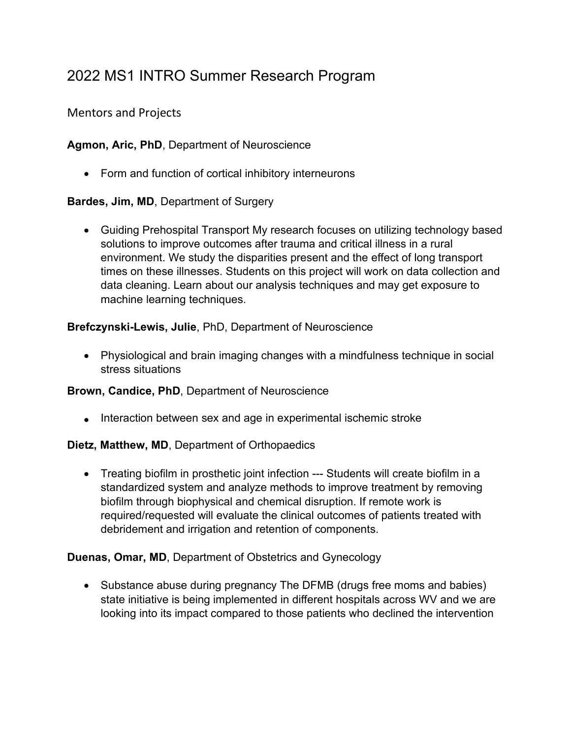# 2022 MS1 INTRO Summer Research Program

Mentors and Projects

**Agmon, Aric, PhD**, Department of Neuroscience

• Form and function of cortical inhibitory interneurons

**Bardes, Jim, MD**, Department of Surgery

• Guiding Prehospital Transport My research focuses on utilizing technology based solutions to improve outcomes after trauma and critical illness in a rural environment. We study the disparities present and the effect of long transport times on these illnesses. Students on this project will work on data collection and data cleaning. Learn about our analysis techniques and may get exposure to machine learning techniques.

**Brefczynski-Lewis, Julie**, PhD, Department of Neuroscience

• Physiological and brain imaging changes with a mindfulness technique in social stress situations

**Brown, Candice, PhD**, Department of Neuroscience

• Interaction between sex and age in experimental ischemic stroke

**Dietz, Matthew, MD**, Department of Orthopaedics

• Treating biofilm in prosthetic joint infection --- Students will create biofilm in a standardized system and analyze methods to improve treatment by removing biofilm through biophysical and chemical disruption. If remote work is required/requested will evaluate the clinical outcomes of patients treated with debridement and irrigation and retention of components.

**Duenas, Omar, MD**, Department of Obstetrics and Gynecology

• Substance abuse during pregnancy The DFMB (drugs free moms and babies) state initiative is being implemented in different hospitals across WV and we are looking into its impact compared to those patients who declined the intervention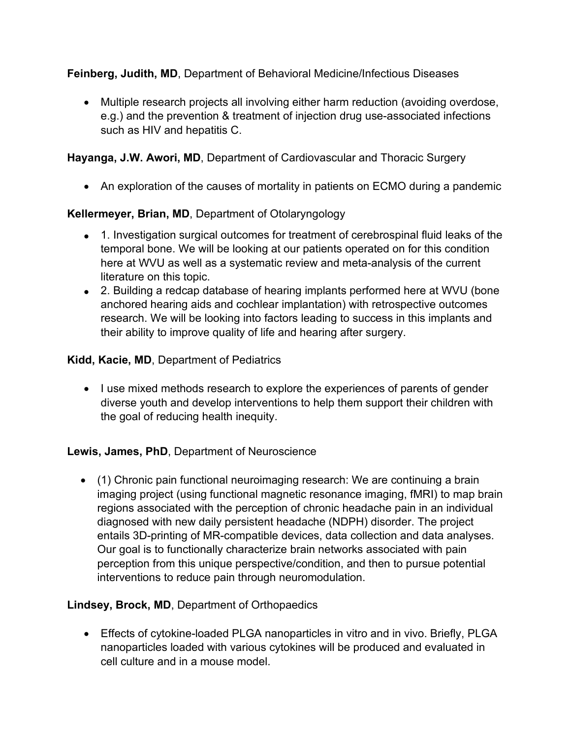**Feinberg, Judith, MD**, Department of Behavioral Medicine/Infectious Diseases

• Multiple research projects all involving either harm reduction (avoiding overdose, e.g.) and the prevention & treatment of injection drug use-associated infections such as HIV and hepatitis C.

# **Hayanga, J.W. Awori, MD**, Department of Cardiovascular and Thoracic Surgery

• An exploration of the causes of mortality in patients on ECMO during a pandemic

# **Kellermeyer, Brian, MD**, Department of Otolaryngology

- 1. Investigation surgical outcomes for treatment of cerebrospinal fluid leaks of the temporal bone. We will be looking at our patients operated on for this condition here at WVU as well as a systematic review and meta-analysis of the current literature on this topic.
- 2. Building a redcap database of hearing implants performed here at WVU (bone anchored hearing aids and cochlear implantation) with retrospective outcomes research. We will be looking into factors leading to success in this implants and their ability to improve quality of life and hearing after surgery.

# **Kidd, Kacie, MD**, Department of Pediatrics

• I use mixed methods research to explore the experiences of parents of gender diverse youth and develop interventions to help them support their children with the goal of reducing health inequity.

# **Lewis, James, PhD**, Department of Neuroscience

• (1) Chronic pain functional neuroimaging research: We are continuing a brain imaging project (using functional magnetic resonance imaging, fMRI) to map brain regions associated with the perception of chronic headache pain in an individual diagnosed with new daily persistent headache (NDPH) disorder. The project entails 3D-printing of MR-compatible devices, data collection and data analyses. Our goal is to functionally characterize brain networks associated with pain perception from this unique perspective/condition, and then to pursue potential interventions to reduce pain through neuromodulation.

# **Lindsey, Brock, MD**, Department of Orthopaedics

• Effects of cytokine-loaded PLGA nanoparticles in vitro and in vivo. Briefly, PLGA nanoparticles loaded with various cytokines will be produced and evaluated in cell culture and in a mouse model.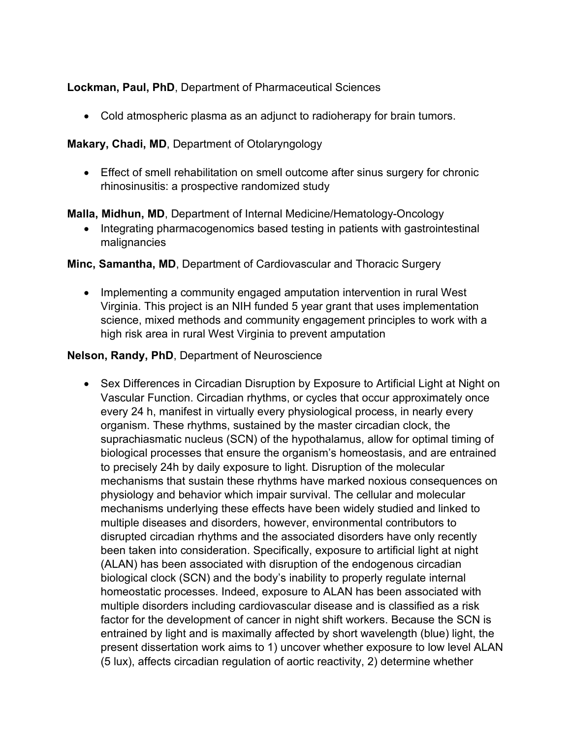# **Lockman, Paul, PhD**, Department of Pharmaceutical Sciences

• Cold atmospheric plasma as an adjunct to radioherapy for brain tumors.

## **Makary, Chadi, MD**, Department of Otolaryngology

• Effect of smell rehabilitation on smell outcome after sinus surgery for chronic rhinosinusitis: a prospective randomized study

## **Malla, Midhun, MD**, Department of Internal Medicine/Hematology-Oncology

• Integrating pharmacogenomics based testing in patients with gastrointestinal malignancies

## **Minc, Samantha, MD**, Department of Cardiovascular and Thoracic Surgery

• Implementing a community engaged amputation intervention in rural West Virginia. This project is an NIH funded 5 year grant that uses implementation science, mixed methods and community engagement principles to work with a high risk area in rural West Virginia to prevent amputation

#### **Nelson, Randy, PhD**, Department of Neuroscience

• Sex Differences in Circadian Disruption by Exposure to Artificial Light at Night on Vascular Function. Circadian rhythms, or cycles that occur approximately once every 24 h, manifest in virtually every physiological process, in nearly every organism. These rhythms, sustained by the master circadian clock, the suprachiasmatic nucleus (SCN) of the hypothalamus, allow for optimal timing of biological processes that ensure the organism's homeostasis, and are entrained to precisely 24h by daily exposure to light. Disruption of the molecular mechanisms that sustain these rhythms have marked noxious consequences on physiology and behavior which impair survival. The cellular and molecular mechanisms underlying these effects have been widely studied and linked to multiple diseases and disorders, however, environmental contributors to disrupted circadian rhythms and the associated disorders have only recently been taken into consideration. Specifically, exposure to artificial light at night (ALAN) has been associated with disruption of the endogenous circadian biological clock (SCN) and the body's inability to properly regulate internal homeostatic processes. Indeed, exposure to ALAN has been associated with multiple disorders including cardiovascular disease and is classified as a risk factor for the development of cancer in night shift workers. Because the SCN is entrained by light and is maximally affected by short wavelength (blue) light, the present dissertation work aims to 1) uncover whether exposure to low level ALAN (5 lux), affects circadian regulation of aortic reactivity, 2) determine whether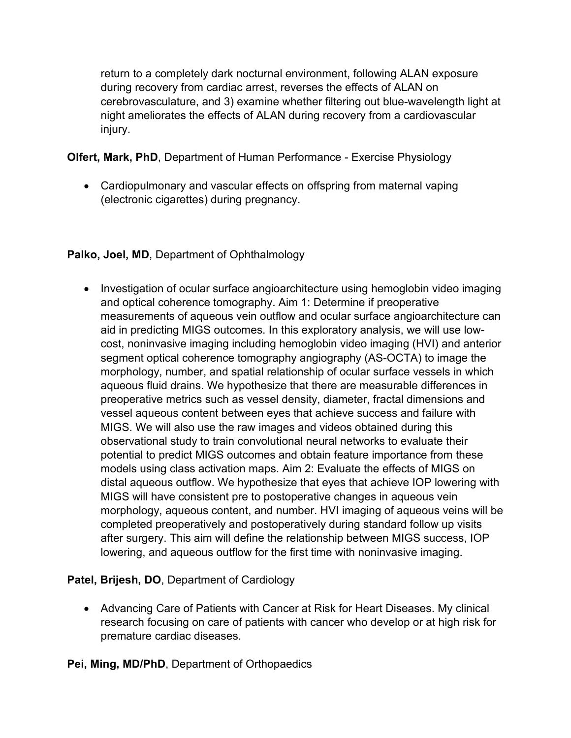return to a completely dark nocturnal environment, following ALAN exposure during recovery from cardiac arrest, reverses the effects of ALAN on cerebrovasculature, and 3) examine whether filtering out blue-wavelength light at night ameliorates the effects of ALAN during recovery from a cardiovascular injury.

**Olfert, Mark, PhD**, Department of Human Performance - Exercise Physiology

• Cardiopulmonary and vascular effects on offspring from maternal vaping (electronic cigarettes) during pregnancy.

# **Palko, Joel, MD**, Department of Ophthalmology

• Investigation of ocular surface angioarchitecture using hemoglobin video imaging and optical coherence tomography. Aim 1: Determine if preoperative measurements of aqueous vein outflow and ocular surface angioarchitecture can aid in predicting MIGS outcomes. In this exploratory analysis, we will use lowcost, noninvasive imaging including hemoglobin video imaging (HVI) and anterior segment optical coherence tomography angiography (AS-OCTA) to image the morphology, number, and spatial relationship of ocular surface vessels in which aqueous fluid drains. We hypothesize that there are measurable differences in preoperative metrics such as vessel density, diameter, fractal dimensions and vessel aqueous content between eyes that achieve success and failure with MIGS. We will also use the raw images and videos obtained during this observational study to train convolutional neural networks to evaluate their potential to predict MIGS outcomes and obtain feature importance from these models using class activation maps. Aim 2: Evaluate the effects of MIGS on distal aqueous outflow. We hypothesize that eyes that achieve IOP lowering with MIGS will have consistent pre to postoperative changes in aqueous vein morphology, aqueous content, and number. HVI imaging of aqueous veins will be completed preoperatively and postoperatively during standard follow up visits after surgery. This aim will define the relationship between MIGS success, IOP lowering, and aqueous outflow for the first time with noninvasive imaging.

# **Patel, Brijesh, DO**, Department of Cardiology

• Advancing Care of Patients with Cancer at Risk for Heart Diseases. My clinical research focusing on care of patients with cancer who develop or at high risk for premature cardiac diseases.

**Pei, Ming, MD/PhD**, Department of Orthopaedics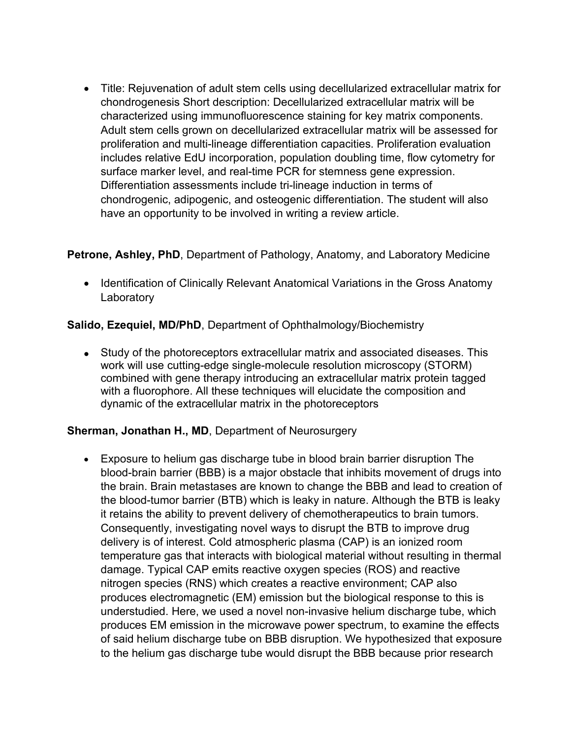• Title: Rejuvenation of adult stem cells using decellularized extracellular matrix for chondrogenesis Short description: Decellularized extracellular matrix will be characterized using immunofluorescence staining for key matrix components. Adult stem cells grown on decellularized extracellular matrix will be assessed for proliferation and multi-lineage differentiation capacities. Proliferation evaluation includes relative EdU incorporation, population doubling time, flow cytometry for surface marker level, and real-time PCR for stemness gene expression. Differentiation assessments include tri-lineage induction in terms of chondrogenic, adipogenic, and osteogenic differentiation. The student will also have an opportunity to be involved in writing a review article.

## **Petrone, Ashley, PhD**, Department of Pathology, Anatomy, and Laboratory Medicine

• Identification of Clinically Relevant Anatomical Variations in the Gross Anatomy **Laboratory** 

## **Salido, Ezequiel, MD/PhD**, Department of Ophthalmology/Biochemistry

• Study of the photoreceptors extracellular matrix and associated diseases. This work will use cutting-edge single-molecule resolution microscopy (STORM) combined with gene therapy introducing an extracellular matrix protein tagged with a fluorophore. All these techniques will elucidate the composition and dynamic of the extracellular matrix in the photoreceptors

#### **Sherman, Jonathan H., MD**, Department of Neurosurgery

• Exposure to helium gas discharge tube in blood brain barrier disruption The blood-brain barrier (BBB) is a major obstacle that inhibits movement of drugs into the brain. Brain metastases are known to change the BBB and lead to creation of the blood-tumor barrier (BTB) which is leaky in nature. Although the BTB is leaky it retains the ability to prevent delivery of chemotherapeutics to brain tumors. Consequently, investigating novel ways to disrupt the BTB to improve drug delivery is of interest. Cold atmospheric plasma (CAP) is an ionized room temperature gas that interacts with biological material without resulting in thermal damage. Typical CAP emits reactive oxygen species (ROS) and reactive nitrogen species (RNS) which creates a reactive environment; CAP also produces electromagnetic (EM) emission but the biological response to this is understudied. Here, we used a novel non-invasive helium discharge tube, which produces EM emission in the microwave power spectrum, to examine the effects of said helium discharge tube on BBB disruption. We hypothesized that exposure to the helium gas discharge tube would disrupt the BBB because prior research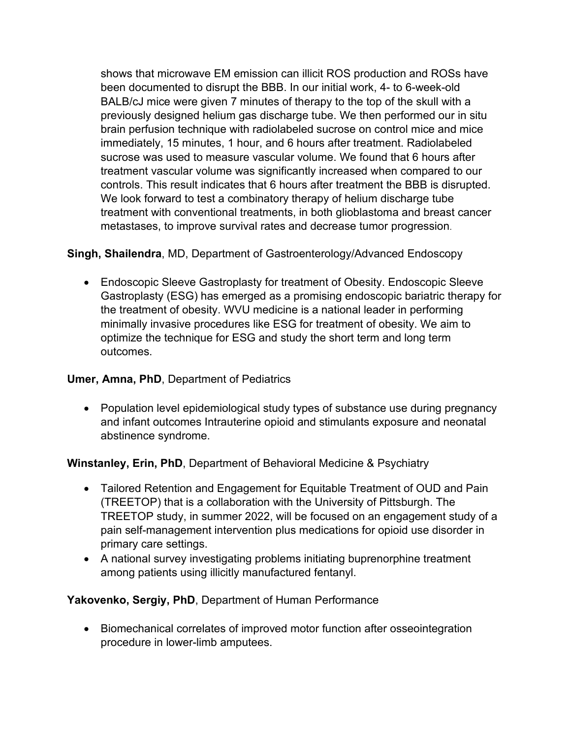shows that microwave EM emission can illicit ROS production and ROSs have been documented to disrupt the BBB. In our initial work, 4- to 6-week-old BALB/cJ mice were given 7 minutes of therapy to the top of the skull with a previously designed helium gas discharge tube. We then performed our in situ brain perfusion technique with radiolabeled sucrose on control mice and mice immediately, 15 minutes, 1 hour, and 6 hours after treatment. Radiolabeled sucrose was used to measure vascular volume. We found that 6 hours after treatment vascular volume was significantly increased when compared to our controls. This result indicates that 6 hours after treatment the BBB is disrupted. We look forward to test a combinatory therapy of helium discharge tube treatment with conventional treatments, in both glioblastoma and breast cancer metastases, to improve survival rates and decrease tumor progression.

# **Singh, Shailendra**, MD, Department of Gastroenterology/Advanced Endoscopy

• Endoscopic Sleeve Gastroplasty for treatment of Obesity. Endoscopic Sleeve Gastroplasty (ESG) has emerged as a promising endoscopic bariatric therapy for the treatment of obesity. WVU medicine is a national leader in performing minimally invasive procedures like ESG for treatment of obesity. We aim to optimize the technique for ESG and study the short term and long term outcomes.

#### **Umer, Amna, PhD**, Department of Pediatrics

• Population level epidemiological study types of substance use during pregnancy and infant outcomes Intrauterine opioid and stimulants exposure and neonatal abstinence syndrome.

# **Winstanley, Erin, PhD**, Department of Behavioral Medicine & Psychiatry

- Tailored Retention and Engagement for Equitable Treatment of OUD and Pain (TREETOP) that is a collaboration with the University of Pittsburgh. The TREETOP study, in summer 2022, will be focused on an engagement study of a pain self-management intervention plus medications for opioid use disorder in primary care settings.
- A national survey investigating problems initiating buprenorphine treatment among patients using illicitly manufactured fentanyl.

# **Yakovenko, Sergiy, PhD**, Department of Human Performance

• Biomechanical correlates of improved motor function after osseointegration procedure in lower-limb amputees.